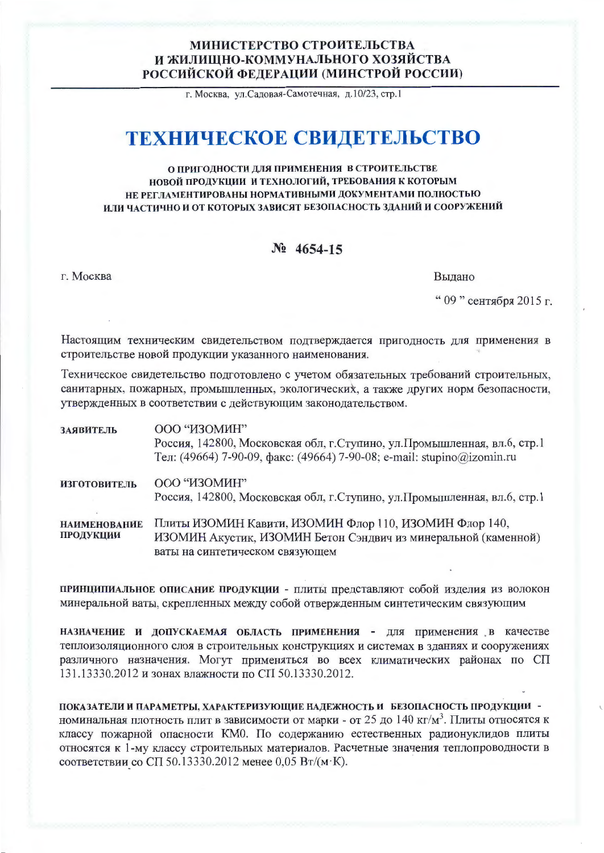## МИНИСТЕРСТВО СТРОИТЕЛЬСТВА И ЖИЛИЩНО-КОММУНАЛЬНОГО ХОЗЯЙСТВА РОССИЙСКОЙ ФЕДЕРАЦИИ (МИНСТРОЙ РОССИИ)

г. Москва, ул.Садовая-Самотечная, д.10/23, стр.1

# ТЕХНИЧЕСКОЕ СВИДЕТЕЛЬСТВО

#### О ПРИГОДНОСТИ ДЛЯ ПРИМЕНЕНИЯ В СТРОИТЕЛЬСТВЕ НОВОЙ ПРОДУКЦИИ И ТЕХНОЛОГИЙ, ТРЕБОВАНИЯ К КОТОРЫМ НЕ РЕГЛАМЕНТИРОВАНЫ НОРМАТИВНЫМИ ДОКУМЕНТАМИ ПОЛНОСТЬЮ ИЛИ ЧАСТИЧНО И ОТ КОТОРЫХ ЗАВИСЯТ БЕЗОПАСНОСТЬ ЗДАНИЙ И СООРУЖЕНИЙ

### $N_2$  4654-15

г. Москва

Выдано

" 09 " сентября 2015 г.

Настоящим техническим свидетельством подтверждается пригодность для применения в строительстве новой продукции указанного наименования.

Техническое свидетельство подготовлено с учетом обязательных требований строительных, санитарных, пожарных, промышленных, экологических, а также других норм безопасности, утвержденных в соответствии с действующим законодательством.

| ЗАЯВИТЕЛЬ                        | ООО "ИЗОМИН"<br>Россия, 142800, Московская обл, г.Ступино, ул.Промышленная, вл.6, стр.1<br>Тел: (49664) 7-90-09, факс: (49664) 7-90-08; e-mail: stupino@izomin.ru |
|----------------------------------|-------------------------------------------------------------------------------------------------------------------------------------------------------------------|
| <b>ИЗГОТОВИТЕЛЬ</b>              | ООО "ИЗОМИН"<br>Россия, 142800, Московская обл, г. Ступино, ул. Промышленная, вл.6, стр.1                                                                         |
| <b>НАИМЕНОВАНИЕ</b><br>ПРОДУКЦИИ | Плиты ИЗОМИН Кавити, ИЗОМИН Флор 110, ИЗОМИН Флор 140,<br>ИЗОМИН Акустик, ИЗОМИН Бетон Сэндвич из минеральной (каменной)<br>ваты на синтетическом связующем       |

ПРИНЦИПИАЛЬНОЕ ОПИСАНИЕ ПРОДУКЦИИ - ПЛИТЫ ПРЕДСТАВЛЯЮТ СОбой ИЗДЕЛИЯ ИЗ ВОЛОКОН минеральной ваты, скрепленных между собой отвержденным синтетическим связующим

НАЗНАЧЕНИЕ И ДОПУСКАЕМАЯ ОБЛАСТЬ ПРИМЕНЕНИЯ - ДЛЯ ПРИМЕНЕНИЯ В КАЧЕСТВЕ теплоизоляционного слоя в строительных конструкциях и системах в зданиях и сооружениях различного назначения. Могут применяться во всех климатических районах по СП 131.13330.2012 и зонах влажности по СП 50.13330.2012.

ПОКАЗАТЕЛИ И ПАРАМЕТРЫ, ХАРАКТЕРИЗУЮЩИЕ НАДЕЖНОСТЬ И БЕЗОПАСНОСТЬ ПРОДУКЦИИ номинальная плотность плит в зависимости от марки - от 25 до 140 кг/м<sup>3</sup>. Плиты относятся к классу пожарной опасности КМО. По содержанию естественных радионуклидов плиты относятся к 1-му классу строительных материалов. Расчетные значения теплопроводности в соответствии со СП 50.13330.2012 менее 0,05 Вт/(м·К).